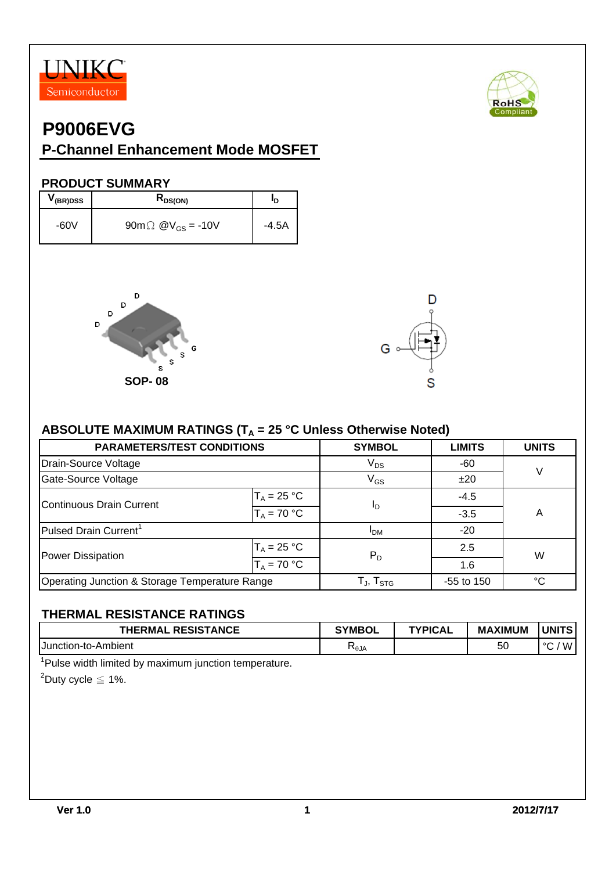



# **P9006EVG**

## **P-Channel Enhancement Mode MOSFET**

#### **PRODUCT SUMMARY**

| V <sub>(BR)DSS</sub> | K <sub>DS(ON)</sub>                 | םי      |
|----------------------|-------------------------------------|---------|
| $-60V$               | $90m\Omega$ @V <sub>GS</sub> = -10V | $-4.5A$ |





### ABSOLUTE MAXIMUM RATINGS (T<sub>A</sub> = 25 °C Unless Otherwise Noted)

| <b>PARAMETERS/TEST CONDITIONS</b>              | <b>SYMBOL</b> | <b>LIMITS</b>                                          | <b>UNITS</b> |    |  |
|------------------------------------------------|---------------|--------------------------------------------------------|--------------|----|--|
| Drain-Source Voltage                           | $V_{DS}$      | -60                                                    | $\vee$       |    |  |
| Gate-Source Voltage                            | $V_{GS}$      | ±20                                                    |              |    |  |
| <b>Continuous Drain Current</b>                | $T_A = 25 °C$ | Ιŋ                                                     | $-4.5$       |    |  |
|                                                | $T_A = 70 °C$ |                                                        | $-3.5$       | Α  |  |
| Pulsed Drain Current <sup>1</sup>              |               | <b>PDM</b>                                             | $-20$        |    |  |
| Power Dissipation                              | $T_A = 25 °C$ | $P_D$                                                  | 2.5          | W  |  |
|                                                | $T_A = 70 °C$ |                                                        | 1.6          |    |  |
| Operating Junction & Storage Temperature Range |               | $\mathsf{T}_{\mathsf{J}},\, \mathsf{T}_{\mathsf{STG}}$ | $-55$ to 150 | °C |  |

#### **THERMAL RESISTANCE RATINGS**

| <b>RESISTANCE</b><br><b>THERMAL</b> | <b>SYMBOL</b> | <b>TYPICAL</b> | <b>MAXIMUM</b> | <b>UNITS</b>        |
|-------------------------------------|---------------|----------------|----------------|---------------------|
| <b>IJunction-to-Ambient</b>         | ' `θJA        |                | 5C             | W<br>$\circ$<br>ِ ب |

<sup>1</sup>Pulse width limited by maximum junction temperature.

 $^2$ Duty cycle  $\leq 1\%$ .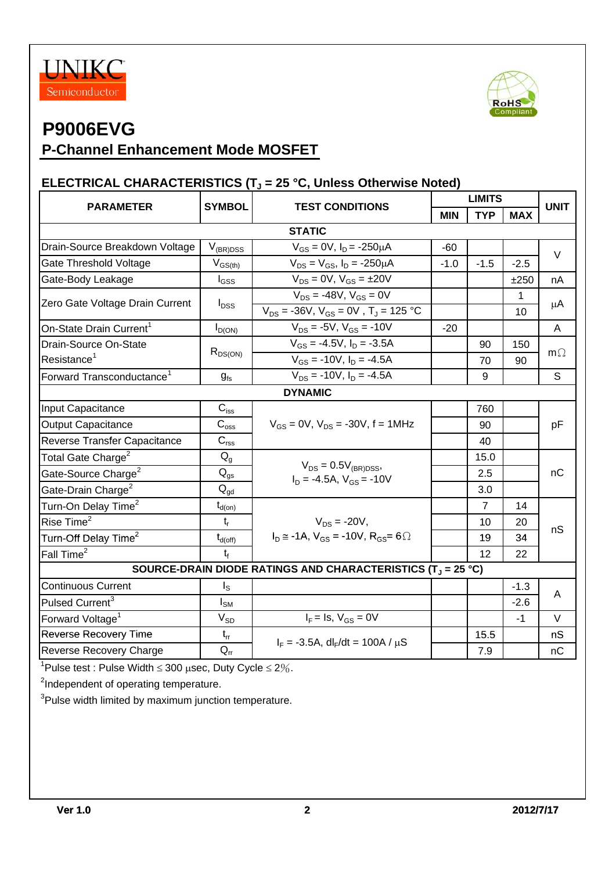



# **P9006EVG**

# **P-Channel Enhancement Mode MOSFET**

### **ELECTRICAL CHARACTERISTICS (T<sub>J</sub> = 25 °C, Unless Otherwise Noted)**

|                                                                          |                                                                                                                         | <b>LIMITS</b>                                                                                                                                                                                                      |                |              | <b>UNIT</b> |  |  |  |  |
|--------------------------------------------------------------------------|-------------------------------------------------------------------------------------------------------------------------|--------------------------------------------------------------------------------------------------------------------------------------------------------------------------------------------------------------------|----------------|--------------|-------------|--|--|--|--|
|                                                                          |                                                                                                                         | <b>MIN</b>                                                                                                                                                                                                         | <b>TYP</b>     | <b>MAX</b>   |             |  |  |  |  |
| <b>STATIC</b>                                                            |                                                                                                                         |                                                                                                                                                                                                                    |                |              |             |  |  |  |  |
| $V_{(BR)DSS}$                                                            | $V_{GS} = 0V$ , $I_D = -250 \mu A$                                                                                      | $-60$                                                                                                                                                                                                              |                |              | $\vee$      |  |  |  |  |
| $V_{GS(th)}$                                                             | $V_{DS} = V_{GS}$ , $I_D = -250 \mu A$                                                                                  | $-1.0$                                                                                                                                                                                                             | $-1.5$         | $-2.5$       |             |  |  |  |  |
| $I_{GSS}$                                                                | $V_{DS} = 0V$ , $V_{GS} = \pm 20V$                                                                                      |                                                                                                                                                                                                                    |                | ±250         | nA          |  |  |  |  |
|                                                                          | $V_{DS}$ = -48V, $V_{GS}$ = 0V                                                                                          |                                                                                                                                                                                                                    |                | $\mathbf{1}$ | μA          |  |  |  |  |
|                                                                          |                                                                                                                         |                                                                                                                                                                                                                    |                | 10           |             |  |  |  |  |
| $I_{D(ON)}$                                                              | $V_{DS}$ = -5V, $V_{GS}$ = -10V                                                                                         | $-20$                                                                                                                                                                                                              |                |              | A           |  |  |  |  |
|                                                                          | $V_{GS}$ = -4.5V, $I_D$ = -3.5A                                                                                         |                                                                                                                                                                                                                    | 90             | 150          | $m\Omega$   |  |  |  |  |
|                                                                          | $V_{GS}$ = -10V, $I_D$ = -4.5A                                                                                          |                                                                                                                                                                                                                    | 70             | 90           |             |  |  |  |  |
| $g_{fs}$                                                                 | $V_{DS}$ = -10V, $I_D$ = -4.5A                                                                                          |                                                                                                                                                                                                                    | 9              |              | S           |  |  |  |  |
|                                                                          | <b>DYNAMIC</b>                                                                                                          |                                                                                                                                                                                                                    |                |              |             |  |  |  |  |
| $\mathbf{C}_{\text{iss}}$                                                |                                                                                                                         |                                                                                                                                                                                                                    | 760            |              |             |  |  |  |  |
| $C_{\rm oss}$                                                            | $V_{GS} = 0V$ , $V_{DS} = -30V$ , f = 1MHz                                                                              |                                                                                                                                                                                                                    | 90             |              | pF          |  |  |  |  |
| $C_{\text{rss}}$                                                         |                                                                                                                         |                                                                                                                                                                                                                    | 40             |              |             |  |  |  |  |
| $Q_q$                                                                    |                                                                                                                         |                                                                                                                                                                                                                    | 15.0           |              |             |  |  |  |  |
| $\mathsf{Q}_{\mathsf{gs}}$                                               | $I_D = -4.5A$ , $V_{GS} = -10V$                                                                                         |                                                                                                                                                                                                                    | 2.5            |              | nC          |  |  |  |  |
| $Q_{gd}$                                                                 |                                                                                                                         |                                                                                                                                                                                                                    | 3.0            |              |             |  |  |  |  |
|                                                                          |                                                                                                                         |                                                                                                                                                                                                                    | $\overline{7}$ | 14           |             |  |  |  |  |
| $t_{r}$                                                                  | $V_{DS} = -20V$ ,                                                                                                       |                                                                                                                                                                                                                    | 10             | 20           | nS          |  |  |  |  |
| $t_{d(\text{off})}$                                                      | $I_D \approx -1$ A, V <sub>GS</sub> = -10V, R <sub>GS</sub> = 6 Ω                                                       |                                                                                                                                                                                                                    | 19             | 34           |             |  |  |  |  |
| $t_{f}$                                                                  |                                                                                                                         |                                                                                                                                                                                                                    | 12             | 22           |             |  |  |  |  |
| SOURCE-DRAIN DIODE RATINGS AND CHARACTERISTICS (T <sub>J</sub> = 25 °C)  |                                                                                                                         |                                                                                                                                                                                                                    |                |              |             |  |  |  |  |
| $I_{\rm S}$                                                              |                                                                                                                         |                                                                                                                                                                                                                    |                | $-1.3$       | A           |  |  |  |  |
| $\mathsf{I}_\mathsf{SM}$                                                 |                                                                                                                         |                                                                                                                                                                                                                    |                | $-2.6$       |             |  |  |  |  |
| $\rm V_{SD}$                                                             | $I_F = Is, V_{GS} = 0V$                                                                                                 |                                                                                                                                                                                                                    |                | $-1$         | $\vee$      |  |  |  |  |
| Forward Voltage <sup>1</sup><br><b>Reverse Recovery Time</b><br>$t_{rr}$ |                                                                                                                         |                                                                                                                                                                                                                    | 15.5           |              | nS          |  |  |  |  |
| $Q_{rr}$                                                                 |                                                                                                                         |                                                                                                                                                                                                                    | 7.9            |              | nC          |  |  |  |  |
|                                                                          | <b>SYMBOL</b><br>$I_{DSS}$<br>$R_{DS(ON)}$<br>$t_{d(on)}$<br>$1\text{m}$ decided by $\text{m}$ decided by $200\text{m}$ | <b>TEST CONDITIONS</b><br>$V_{DS}$ = -36V, $V_{GS}$ = 0V, $T_J$ = 125 °C<br>$V_{DS} = 0.5V_{(BR)DSS}$<br>$I_F = -3.5A$ , dl <sub>F</sub> /dt = 100A / $\mu$ S<br>$D_{\text{out}}$ , $D_{\text{out}}$ , $\geq 0.07$ |                |              |             |  |  |  |  |

<sup>1</sup>Pulse test : Pulse Width ≤ 300 µsec, Duty Cycle ≤ 2%.

<sup>2</sup>Independent of operating temperature.

 $3$ Pulse width limited by maximum junction temperature.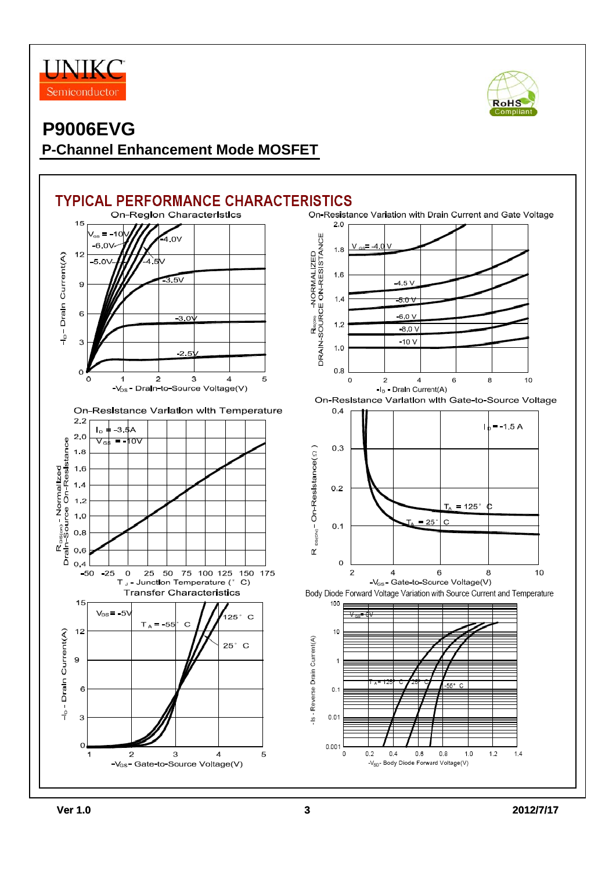



# **P9006EVG P-Channel Enhancement Mode MOSFET**

### **TYPICAL PERFORMANCE CHARACTERISTICS**

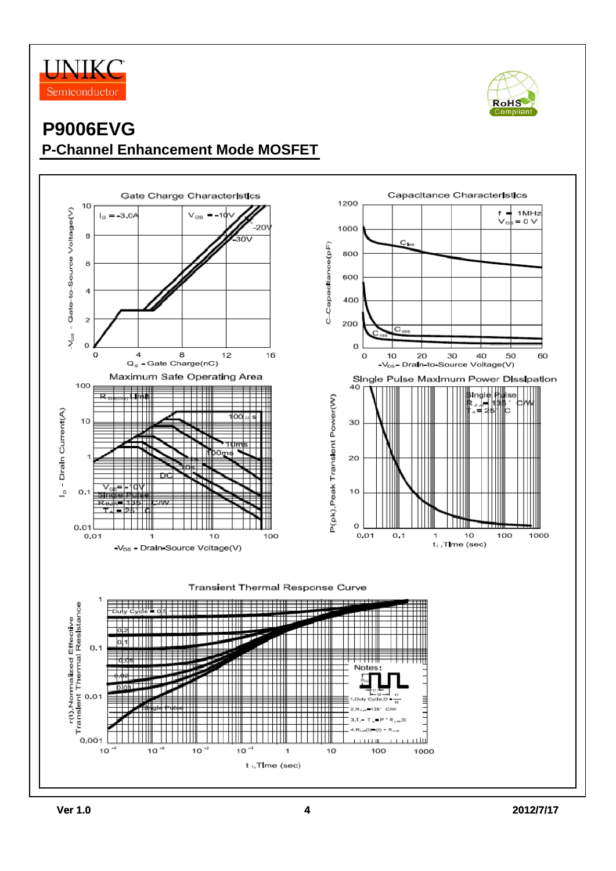



# **P9006EVG P-Channel Enhancement Mode MOSFET**